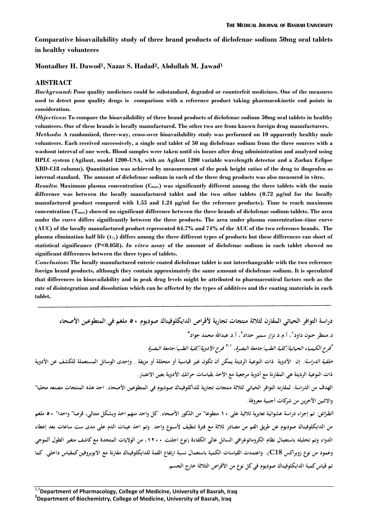**Comparative bioavailability study of three brand products of diclofenac sodium 50mg oral tablets in healthy volunteers**

#### **Montadher H. Dawod<sup>1</sup> , Nazar S. Hadad<sup>2</sup> , Abdullah M. Jawad<sup>1</sup>**

#### **ABSTRACT**

*Background***: Poor quality medicines could be substandard, degraded or counterfeit medicines. One of the measures used to detect poor quality drugs is comparison with a reference product taking pharmacokinetic end points in consideration.**

*Objectives***: To compare the bioavailability of three brand products of diclofenac sodium 50mg oral tablets in healthy volunteers. One of these brands is locally manufactured. The other two are from known foreign drug manufacturers.** *Methods***: A randomized, three-way, cross-over bioavailability study was performed on 10 apparently healthy male volunteers. Each received successively, a single oral tablet of 50 mg diclofenac sodium from the three sources with a washout interval of one week. Blood samples were taken until six hours after drug administration and analyzed using HPLC system (Agilant, model 1200-USA, with an Agilent 1200 variable wavelength detector and a Zorbax Eclipse XBD-C18 column). Quantitation was achieved by measurement of the peak height ratios of the drug to ibuprofen as internal standard. The amount of diclofenac sodium in each of the three drug products was also measured in vitro.**

*Results***: Maximum plasma concentration (Cmax) was significantly different among the three tablets with the main difference was between the locally manufactured tablet and the two other tablets (0.72 µg/ml for the locally manufactured product compared with 1.55 and 1.24 µg/ml for the reference products). Time to reach maximum concentration (Tmax) showed no significant difference between the three brands of diclofenac sodium tablets. The area under the curve differs significantly between the three products. The area under plasma concentration-time curve (AUC) of the locally manufactured product represented 64.7% and 74% of the AUC of the two reference brands. The plasma elimination half life (t½) differs among the three different types of products but these differences ran short of statistical significance (P<0.058).** *In vitro* **assay of the amount of diclofenac sodium in each tablet showed no significant differences between the three types of tablets.**

*Conclusion***: The locally manufactured enteric coated diclofenac tablet is not interchangeable with the two reference foreign brand products, although they contain approximately the same amount of diclofenac sodium. It is speculated that differences in bioavailability and in peak drug levels might be attributed to pharmaceutical factors such as the rate of disintegration and dissolution which can be affected by the types of additives and the coating materials in each tablet.**

**دراسة التوافر الحياتي المقارن لثلاثة منتجات تجارية لأقراص الدايكلوفيناك صوديوم ٥٠ ملغم في المتطوعين الأصحاء** د.منتظر حنون داود<sup>י</sup> ، أ.م.د.نزار سمير حداد<sup>٢</sup> ، أ.د.عبدالله محمد جواد<sup>٣</sup> *فرع الأدوية/كلية الطب/جامعة البصرة ٣،١ فرع الكيمياء الحياتية/كلية الطب/جامعة البصرة، <sup>٢</sup> خلفية الدراسة:* **إن الأدوية ذات النوعية الرديئة يمكن أن تكون غير قياسية أو متحللة أو مزيفة . وإحدى الوسائل المستعملة للكشف عن الأدوية ذات النوعية الرديئة هي المقارنة مع أدوية مرجعية مع الأخذ بقياسات حرائك الأدوية بعين الاعتبار. الهدف من الدراسة: لمقارنه التوافر الحياتي لثلاثة منتجات تجارية للداكلوفيناك صوديوم في المتطوعين الأصحاء. احد هذه المنتجات مصنعه محليا" والاثنين الآخرين من شركات أجنبية معروفة.** *الطرائق:* **تم إجراء دراسة عشوائية تعابرية ثلاثية على ١٠ متطوعا" من الذكور الأصحاء. كل واحد منهم اخذ وبشكل متتالي، قرصا" واحدا" ٥٠ ملغم من الدايكلوفيناك صوديوم عن طريق الفم من مصادر ثلاثة مع فترة تنظيف لأسبوع واحد. وتم اخذ عينات الدم على مدى ست ساعات بعد إعطاء الدواء وتم تحليله باستعمال نظام الكروماتوغرافي السائل عالي الكفاءة (نوع اجلنت ،١٢٠٠ من الولايات المتحدة مع كاشف متغير الطول ألموجي** 

**تم قياس كمية الدايكلوفيناك صوديوم في كل نوع من الأقراص الثلاثة خارج الجسم.** 

**وعمود من نوع زوبراكس 18C(. واعتمدت القياسات الكمية باستعمال نسبة ارتفاع القمة للدايكلوفيناك مقارنة مع الابوبروفين كمقياس داخلي. كما**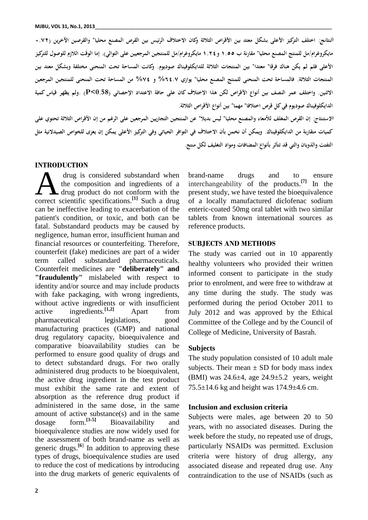*النتائج:* **اختلف التركيز الأعلى بشكل معتد بين الأقراص الثلاثة وكان الاختلاف الرئيس بين القرص المصنع محليا" والقرصين الآخرين (٠.٧٢ مايكروغرام/مل للمنتج المصنع محليا" مقارنة ب ١.٥٥ و١.٢٤ مايكروغرام/مل للمنتجين المرجعيين على التوالي). إما الوقت اللازم للوصول للتركيز الأعلى فلم لم يكن هناك فرقا" معتدا" بين المنتجات الثلاثة للدايكلوفيناك صوديوم. وكانت المساحة تحت المنحنى مختلفة وبشكل معتد بين المنتجات الثلاثة. فالمساحة تحت المنحنى للمنتج المصنع محليا" يوازي %٦٤.٧ و %٧٤ من المساحة تحت المنحنى للمنتجين المرجعين الاثنين. واختلف عمر النصف بين أنواع الأقراص لكن هذا الاختلاف كان على حافة الاعتداد الإحصائي (0.58>P (.ولم يظهر قياس كمية الدايكلوفيناك صوديوم في كل قرص اختلافا" مهما" بين أنواع الأقراص الثلاثة.**

*الاستنتاج:* **إن القرص المغلف للأمعاء والمصنع محليا" ليس بديلا" عن المنتجين التجاريين المرجعين على الرغم من إن الأقراص الثلاثة تحتوي على كميات متقاربة من الدايكلوفيناك. ويمكن أن نخمن بأن الاختلاف في التوافر الحياتي وفي التركيز الأعلى يمكن إن يعزى للخواص الصيدلانية مثل التفتت والذوبان والتي قد تتأثر بأنواع المضافات ومواد التغليف لكل منتج.**

#### **INTRODUCTION**

drug is considered substandard when the composition and ingredients of a drug product do not conform with the drug is considered substandard when brand-<br>the composition and ingredients of a intercl<br>correct scientific specifications.<sup>[1]</sup> Such a drug of a can be ineffective leading to exacerbation of the patient's condition, or toxic, and both can be fatal. Substandard products may be caused by negligence, human error, insufficient human and financial resources or counterfeiting. Therefore, counterfeit (fake) medicines are part of a wider term called substandard pharmaceuticals. Counterfeit medicines are **"deliberately" and "fraudulently"** mislabeled with respect to identity and/or source and may include products with fake packaging, with wrong ingredients, without active ingredients or with insufficient active ingredients.**[1,2]** Apart from pharmaceutical legislations, good manufacturing practices (GMP) and national drug regulatory capacity, bioequivalence and comparative bioavailability studies can be performed to ensure good quality of drugs and to detect substandard drugs. For two orally administered drug products to be bioequivalent, the active drug ingredient in the test product must exhibit the same rate and extent of absorption as the reference drug product if administered in the same dose, in the same amount of active substance(s) and in the same dosage form.**[3-5]** Bioavailability and bioequivalence studies are now widely used for the assessment of both brand-name as well as generic drugs.**[6**] In addition to approving these types of drugs, bioequivalence studies are used to reduce the cost of medications by introducing into the drug markets of generic equivalents of

brand-name drugs and to ensure interchangeability of the products. **[7]** In the present study, we have tested the bioequivalence of a locally manufactured diclofenac sodium enteric-coated 50mg oral tablet with two similar tablets from known international sources as reference products.

#### **SUBJECTS AND METHODS**

The study was carried out in 10 apparently healthy volunteers who provided their written informed consent to participate in the study prior to enrolment, and were free to withdraw at any time during the study. The study was performed during the period October 2011 to July 2012 and was approved by the Ethical Committee of the College and by the Council of College of Medicine, University of Basrah.

#### **Subjects**

The study population consisted of 10 adult male subjects. Their mean  $\pm$  SD for body mass index (BMI) was  $24.6\pm4$ , age  $24.9\pm5.2$  years, weight  $75.5 \pm 14.6$  kg and height was  $174.9 \pm 4.6$  cm.

#### **Inclusion and exclusion criteria**

Subjects were males, age between 20 to 50 years, with no associated diseases. During the week before the study, no repeated use of drugs, particularly NSAIDs was permitted. Exclusion criteria were history of drug allergy, any associated disease and repeated drug use. Any contraindication to the use of NSAIDs (such as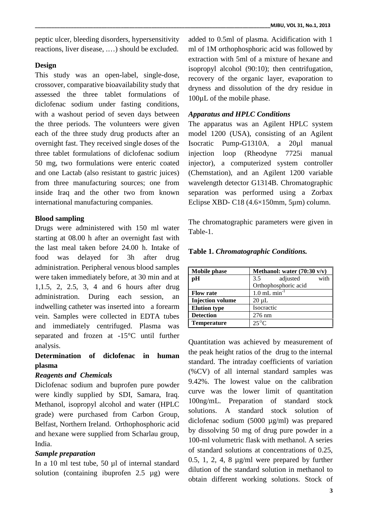peptic ulcer, bleeding disorders, hypersensitivity reactions, liver disease, .…) should be excluded.

## **Design**

This study was an open-label, single-dose, crossover, comparative bioavailability study that assessed the three tablet formulations of diclofenac sodium under fasting conditions, with a washout period of seven days between the three periods. The volunteers were given each of the three study drug products after an overnight fast. They received single doses of the three tablet formulations of diclofenac sodium 50 mg, two formulations were enteric coated and one Lactab (also resistant to gastric juices) from three manufacturing sources; one from inside Iraq and the other two from known international manufacturing companies.

### **Blood sampling**

Drugs were administered with 150 ml water starting at 08.00 h after an overnight fast with the last meal taken before 24.00 h. Intake of food was delayed for 3h after drug administration. Peripheral venous blood samples were taken immediately before, at 30 min and at 1,1.5, 2, 2.5, 3, 4 and 6 hours after drug administration. During each session, an indwelling catheter was inserted into a forearm vein. Samples were collected in EDTA tubes and immediately centrifuged. Plasma was separated and frozen at -15°C until further analysis.

# **Determination of diclofenac in human plasma**

### *Reagents and Chemicals*

Diclofenac sodium and buprofen pure powder were kindly supplied by SDI, Samara, Iraq. Curve was<br>Mathemal isomeonyl algebra and water (UDLG 100ng/mL). Methanol, isopropyl alcohol and water (HPLC grade) were purchased from Carbon Group, Belfast, Northern Ireland. Orthophosphoric acid and hexane were supplied from Scharlau group, India.

### *Sample preparation*

In a 10 ml test tube, 50 µl of internal standard solution (containing ibuprofen 2.5 µg) were **\_\_\_\_\_\_\_\_\_\_\_\_\_\_\_\_\_\_\_\_\_\_\_\_\_\_\_\_\_\_\_\_\_\_\_\_\_\_\_\_\_\_\_\_\_\_\_\_\_\_\_\_\_\_\_\_\_\_\_\_\_\_\_\_\_\_\_\_\_\_\_\_\_\_\_\_\_\_\_\_\_\_\_\_\_MJBU, VOL 31, No.1, 2013**

ml of 1M orthophosphoric acid was followed by extraction with 5ml of a mixture of hexane and isopropyl alcohol (90:10); then centrifugation, recovery of the organic layer, evaporation to dryness and dissolution of the dry residue in 100µL of the mobile phase.

### *Apparatus and HPLC Conditions*

The apparatus was an Agilent HPLC system model 1200 (USA), consisting of an Agilent Pump-G1310A, a 20µl manual loop (Rheodyne 7725i manual injector), a computerized system controller (Chemstation), and an Agilent 1200 variable wavelength detector G1314B. Chromatographic separation was performed using a Zorbax Eclipse XBD- C18 (4.6×150mm, 5µm) column.

The chromatographic parameters were given in Table-1.

| <b>Mobile phase</b>     | Methanol: water $(70:30 \text{ v/v})$ |  |  |  |  |  |  |
|-------------------------|---------------------------------------|--|--|--|--|--|--|
| pН                      | adjusted<br>3.5<br>with               |  |  |  |  |  |  |
|                         | Orthophosphoric acid                  |  |  |  |  |  |  |
| <b>Flow rate</b>        | $1.0$ mL min <sup>-1</sup>            |  |  |  |  |  |  |
| <b>Injection volume</b> | $20 \mu L$                            |  |  |  |  |  |  |
| <b>Elution type</b>     | Isocractic                            |  |  |  |  |  |  |
| <b>Detection</b>        | $276 \text{ nm}$                      |  |  |  |  |  |  |
| <b>Temperature</b>      | $25^{\circ}$ C                        |  |  |  |  |  |  |

**Table 1.** *Chromatographic Conditions.*

Quantitation was achieved by measurement of the peak height ratios of the drug to the internal standard. The intraday coefficients of variation (%CV) of all internal standard samples was 9.42%. The lowest value on the calibration curve was the lower limit of quantitation Preparation of standard stock solutions. A standard stock solution of diclofenac sodium (5000 µg/ml) was prepared by dissolving 50 mg of drug pure powder in a 100-ml volumetric flask with methanol. A series of standard solutions at concentrations of 0.25, 0.5, 1, 2, 4, 8 µg/ml were prepared by further dilution of the standard solution in methanol to obtain different working solutions. Stock of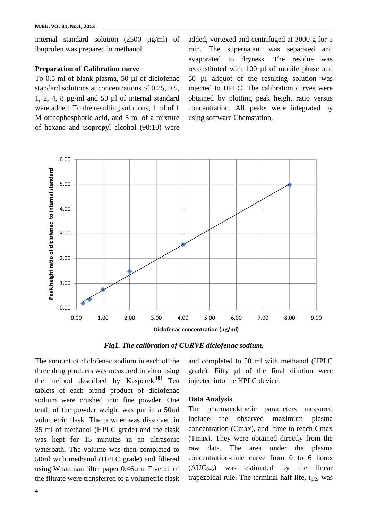internal standard solution (2500 µg/ml) of ibuprofen was prepared in methanol.

### **Preparation of Calibration curve**

To 0.5 ml of blank plasma, 50 µl of diclofenac standard solutions at concentrations of 0.25, 0.5, 1, 2, 4, 8 µg/ml and 50 µl of internal standard were added. To the resulting solutions, 1 ml of 1 M orthophosphoric acid, and 5 ml of a mixture of hexane and isopropyl alcohol (90:10) were

added, vortexed and centrifuged at 3000 g for 5 min. The supernatant was separated and evaporated to dryness. The residue was reconstituted with 100 µl of mobile phase and 50 µl aliquot of the resulting solution was injected to HPLC. The calibration curves were obtained by plotting peak height ratio versus concentration. All peaks were integrated by using software Chemstation.



*Fig1. The calibration of CURVE diclofenac sodium.*

The amount of diclofenac sodium in each of the three drug products was measured in vitro using the method described by Kasperek.[**8]** Ten tablets of each brand product of diclofenac sodium were crushed into fine powder. One tenth of the powder weight was put in a 50ml volumetric flask. The powder was dissolved in 35 ml of methanol (HPLC grade) and the flask was kept for 15 minutes in an ultrasonic waterbath. The volume was then completed to raw data. 50ml with methanol (HPLC grade) and filtered using Whattman filter paper 0.46 $\mu$ m. Five ml of  $(AUC_{0-6})$ the filtrate were transferred to a volumetric flask

and completed to 50 ml with methanol (HPLC grade). Fifty µl of the final dilution were injected into the HPLC device.

#### **Data Analysis**

The pharmacokinetic parameters measured the observed maximum plasma concentration (Cmax), and time to reach Cmax (Tmax). They were obtained directly from the The area under the plasma concentration-time curve from 0 to 6 hours was estimated by the linear trapezoidal rule. The terminal half-life,  $t_{1/2}$ , was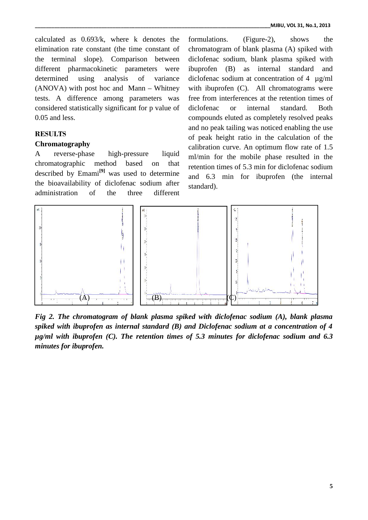calculated as 0.693/k, where k denotes the calculated as  $0.693/k$ , where k denotes the for elimination rate constant (the time constant of chr the terminal slope). Comparison between between different pharmacokinetic parameters were determined using analysis of variance the terminal slope). Comparison between diclofe<br>different pharmacokinetic parameters were ibupro<br>determined using analysis of variance diclofe<br>(ANOVA) with post hoc and Mann – Whitney with i tests. A difference among parameters was free considered statistically significant for p value of 0.05 and less.

### **RESULTS**

### **Chromatography**

A reverse-phase high-pressure liquid chromatographic method based on that described by Emami**[9]** was used to determine the bioavailability of diclofenac sodium after  $_{\text{stat}}$ administration of the three different considered statistically significant for p value of diclo<br>
0.05 and less.  $\qquad \qquad \qquad \qquad \text{comp}$ <br>
RESULTS of performatography<br>
A reverse-phase high-pressure liquid  $\qquad \qquad \text{ml/m}$ <br>
chromatographic method based on that reten<br> three

formulations. (Figure-2), shows the chromatogram of blank plasma (A) spiked with diclofenac sodium, blank plasma spiked with ibuprofen (B) as internal standard and diclofenac sodium at concentration of 4 µg/ml diclofenac sodium at concentration of 4  $\mu$ g/ml<br>with ibuprofen (C). All chromatograms were free from interferences at the retention times of diclofenac or internal standard. Both compounds eluted as completely resolved peaks and no peak tailing was noticed enabling the use of peak height ratio in the calculation of the calibration curve. An optimum flow rate of 1.5 ml/min for the mobile phase resulted in the retention times of 5.3 min for diclofenac sodium and 6.3 min for ibuprofen (the internal standard). ope). Comparison between diclofenac sodium, blank plasma spiked with<br>cokinetic parameters were ibuprofen (B) as internal standard and<br>g analysis of variance diclofenac sodium at concentration of 4  $\mu$ g/ml<br>ost hoc and Man retention times of<br>internal standard. Both<br>as completely resolved peaks<br>was noticed enabling the use



*Fig 2. The chromatogram of blank plasma spiked with diclofenac sodium (A), blank plasma spiked with ibuprofen as internal standard (B) and Diclofenac sodium at a concentration of 4 Fig 2. The chromatogram of blank plasma spiked with diclofenac sodium (A), blank plasma<br>spiked with ibuprofen as internal standard (B) and Diclofenac sodium at a concentration of 4<br>µg/ml with ibuprofen (C). The retention minutes for ibuprofen.*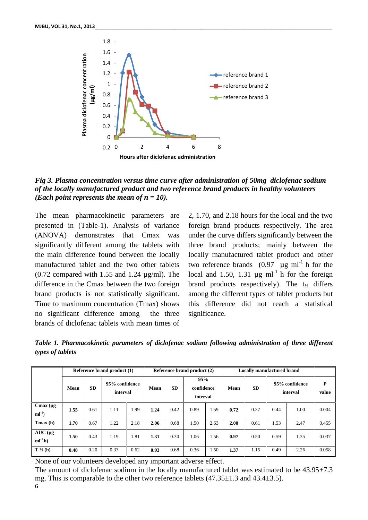

*Fig 3. Plasma concentration versus time curve after administration of 50mg diclofenac sodium of the locally manufactured product and two reference brand products in healthy volunteers (Each point represents the mean of n = 10).*

The mean pharmacokinetic parameters are presented in (Table-1). Analysis of variance (ANOVA) demonstrates that Cmax was significantly different among the tablets with the main difference found between the locally manufactured tablet and the two other tablets  $(0.72$  compared with 1.55 and 1.24  $\mu$ g/ml). The difference in the Cmax between the two foreign brand products is not statistically significant. Time to maximum concentration (Tmax) shows no significant difference among the three brands of diclofenac tablets with mean times of

2, 1.70, and 2.18 hours for the local and the two foreign brand products respectively. The area under the curve differs significantly between the three brand products; mainly between the locally manufactured tablet product and other two reference brands  $(0.97 \mu g \text{ ml}^{-1} \text{h}$  for the local and 1.50, 1.31  $\mu$ g ml<sup>-1</sup> h for the foreign brand products respectively). The  $t_{1/2}$  differs among the different types of tablet products but this difference did not reach a statistical significance.

*Table 1. Pharmacokinetic parameters of diclofenac sodium following administration of three different types of tablets*

|                                | Reference brand product (1) |           |                            |      | Reference brand product (2) |           |                               |      | <b>Locally manufactured brand</b> |           |      |                            |            |
|--------------------------------|-----------------------------|-----------|----------------------------|------|-----------------------------|-----------|-------------------------------|------|-----------------------------------|-----------|------|----------------------------|------------|
|                                | Mean                        | <b>SD</b> | 95% confidence<br>interval |      | <b>Mean</b>                 | <b>SD</b> | 95%<br>confidence<br>interval |      | Mean                              | <b>SD</b> |      | 95% confidence<br>interval | P<br>value |
| $C$ max $(\mu g)$<br>$ml^{-1}$ | 1.55                        | 0.61      | 1.11                       | 1.99 | 1.24                        | 0.42      | 0.89                          | 1.59 | 0.72                              | 0.37      | 0.44 | 1.00                       | 0.004      |
| $T$ max $(h)$                  | 1.70                        | 0.67      | 1.22                       | 2.18 | 2.06                        | 0.68      | 1.50                          | 2.63 | 2.00                              | 0.61      | 1.53 | 2.47                       | 0.455      |
| $AUC$ (µg<br>$ml-1h)$          | 1.50                        | 0.43      | 1.19                       | 1.81 | 1.31                        | 0.30      | 1.06                          | 1.56 | 0.97                              | 0.50      | 0.59 | 1.35                       | 0.037      |
| $T\frac{1}{2}$ (h)             | 0.48                        | 0.20      | 0.33                       | 0.62 | 0.93                        | 0.68      | 0.36                          | 1.50 | 1.37                              | 1.15      | 0.49 | 2.26                       | 0.058      |

None of our volunteers developed any important adverse effect.

**6** The amount of diclofenac sodium in the locally manufactured tablet was estimated to be  $43.95\pm7.3$ mg. This is comparable to the other two reference tablets (47.35±1.3 and 43.4±3.5).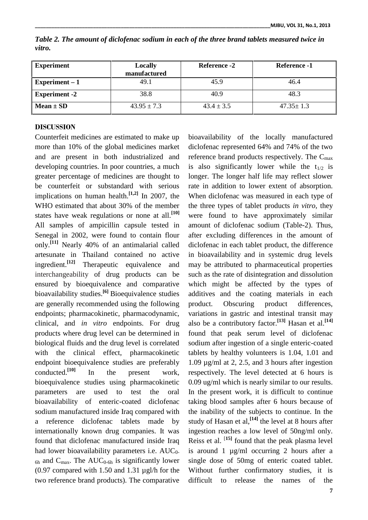| <b>Experiment</b>    | Locally<br>manufactured | Reference -2   | Reference -1    |
|----------------------|-------------------------|----------------|-----------------|
| Experiment $-1$      | 49.1                    | 45.9           | 46.4            |
| <b>Experiment -2</b> | 38.8                    | 40.9           | 48.3            |
| Mean $\pm$ SD        | $43.95 \pm 7.3$         | $43.4 \pm 3.5$ | $47.35 \pm 1.3$ |

*Table 2. The amount of diclofenac sodium in each of the three brand tablets measured twice in vitro.*

### **DISCUSSION**

Counterfeit medicines are estimated to make up more than 10% of the global medicines market and are present in both industrialized and developing countries. In poor countries, a much greater percentage of medicines are thought to be counterfeit or substandard with serious implications on human health.**[1,2]** In 2007, the WHO estimated that about 30% of the member states have weak regulations or none at all.**[10]** All samples of ampicillin capsule tested in Senegal in 2002, were found to contain flour only.**[11]** Nearly 40% of an antimalarial called artesunate in Thailand contained no active ingredient.**[12]** Therapeutic equivalence and interchangeability of drug products can be ensured by bioequivalence and comparative bioavailability studies.**[6]** Bioequivalence studies are generally recommended using the following endpoints; pharmacokinetic, pharmacodynamic, clinical, and *in vitro* endpoints. For drug products where drug level can be determined in biological fluids and the drug level is correlated with the clinical effect, pharmacokinetic endpoint bioequivalence studies are preferably conducted.**[10]** In the present work, bioequivalence studies using pharmacokinetic parameters are used to test the oral bioavailability of enteric-coated diclofenac sodium manufactured inside Iraq compared with a reference diclofenac tablets made by internationally known drug companies. It was found that diclofenac manufactured inside Iraq had lower bioavailability parameters i.e. AUC<sub>0-</sub>  $_{6h}$  and  $C_{max}$ . The AUC<sub>0-6h</sub> is significantly lower (0.97 compared with 1.50 and 1.31 µgl/h for the two reference brand products). The comparative

bioavailability of the locally manufactured diclofenac represented 64% and 74% of the two reference brand products respectively. The Cmax is also significantly lower while the  $t_{1/2}$  is longer. The longer half life may reflect slower rate in addition to lower extent of absorption. When diclofenac was measured in each type of the three types of tablet products *in vitro*, they were found to have approximately similar amount of diclofenac sodium (Table-2). Thus, after excluding differences in the amount of diclofenac in each tablet product, the difference in bioavailability and in systemic drug levels may be attributed to pharmaceutical properties such as the rate of disintegration and dissolution which might be affected by the types of additives and the coating materials in each Obscuring product differences, variations in gastric and intestinal transit may also be a contributory factor.**[13]** Hasan et al. **[14]** found that peak serum level of diclofenac sodium after ingestion of a single enteric-coated tablets by healthy volunteers is 1.04, 1.01 and 1.09  $\mu$ g/ml at 2, 2.5, and 3 hours after ingestion respectively. The level detected at 6 hours is 0.09 ug/ml which is nearly similar to our results. In the present work, it is difficult to continue taking blood samples after 6 hours because of the inability of the subjects to continue. In the study of Hasan et al, **[14]** the level at 8 hours after ingestion reaches a low level of 50ng/ml only. Reiss et al. [**15]** found that the peak plasma level is around 1 µg/ml occurring 2 hours after a single dose of 50mg of enteric coated tablet. Without further confirmatory studies, it is difficult to release the names of the